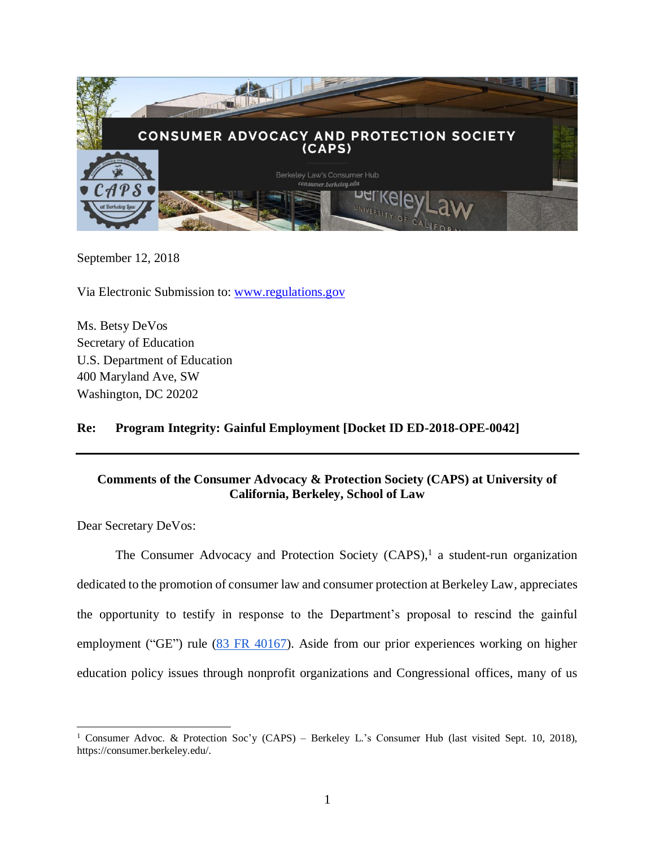

September 12, 2018

Via Electronic Submission to: [www.regulations.gov](http://www.regulations.gov/)

Ms. Betsy DeVos Secretary of Education U.S. Department of Education 400 Maryland Ave, SW Washington, DC 20202

## **Re: Program Integrity: Gainful Employment [Docket ID ED-2018-OPE-0042]**

# **Comments of the Consumer Advocacy & Protection Society (CAPS) at University of California, Berkeley, School of Law**

Dear Secretary DeVos:

The Consumer Advocacy and Protection Society  $(CAPS)$ ,<sup>1</sup> a student-run organization dedicated to the promotion of consumer law and consumer protection at Berkeley Law, appreciates the opportunity to testify in response to the Department's proposal to rescind the gainful employment ("GE") rule [\(83 FR 40167\)](https://www.federalregister.gov/documents/2018/08/14/2018-17531/program-integrity-gainful-employment). Aside from our prior experiences working on higher education policy issues through nonprofit organizations and Congressional offices, many of us

<sup>&</sup>lt;sup>1</sup> Consumer Advoc. & Protection Soc'y (CAPS) – Berkeley L.'s Consumer Hub (last visited Sept. 10, 2018), https://consumer.berkeley.edu/.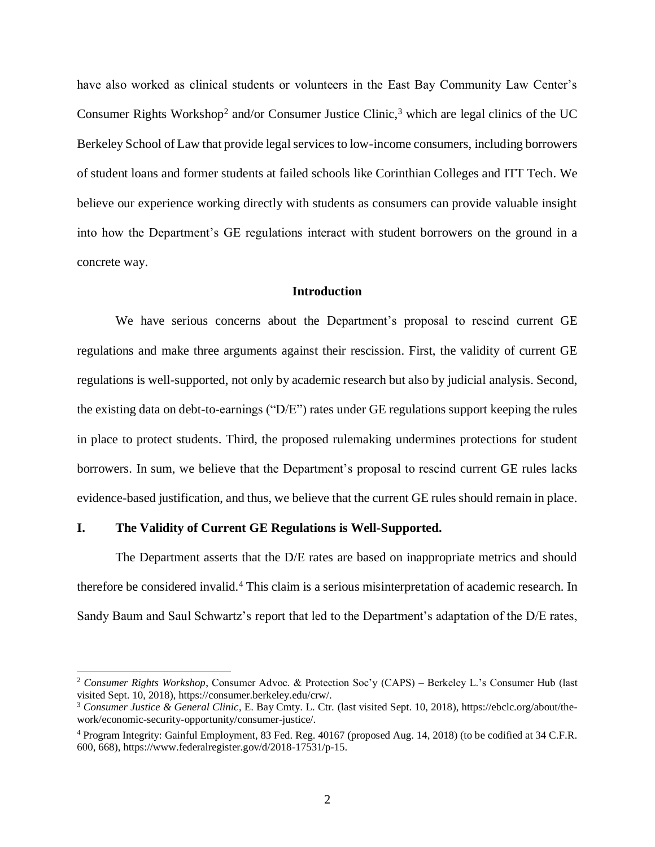have also worked as clinical students or volunteers in the East Bay Community Law Center'[s](https://consumer.berkeley.edu/crw/) Consume[r](https://ebclc.org/about/the-work/economic-security-opportunity/consumer-justice/) Rights Workshop<sup>2</sup> and/or Consumer Justice Clinic,<sup>3</sup> which are legal clinics of the UC Berkeley School of Law that provide legal services to low-income consumers, including borrowers of student loans and former students at failed schools like Corinthian Colleges and ITT Tech. We believe our experience working directly with students as consumers can provide valuable insight into how the Department's GE regulations interact with student borrowers on the ground in a concrete way.

#### **Introduction**

We have serious concerns about the Department's proposal to rescind current GE regulations and make three arguments against their rescission. First, the validity of current GE regulations is well-supported, not only by academic research but also by judicial analysis. Second, the existing data on debt-to-earnings ("D/E") rates under GE regulations support keeping the rules in place to protect students. Third, the proposed rulemaking undermines protections for student borrowers. In sum, we believe that the Department's proposal to rescind current GE rules lacks evidence-based justification, and thus, we believe that the current GE rules should remain in place.

#### **I. The Validity of Current GE Regulations is Well-Supported.**

 $\overline{a}$ 

The Department asserts that the D/E rates are based on inappropriate metrics and should therefore be considered invalid.<sup>4</sup> This claim is a serious misinterpretation of academic research. In Sandy Baum and Saul Schwartz's report that led to the Department's adaptation of the D/E rates,

<sup>2</sup> *Consumer Rights Workshop*, Consumer Advoc. & Protection Soc'y (CAPS) – Berkeley L.'s Consumer Hub (last visited Sept. 10, 2018), https://consumer.berkeley.edu/crw/.

<sup>3</sup> *Consumer Justice & General Clinic*, E. Bay Cmty. L. Ctr. (last visited Sept. 10, 2018), https://ebclc.org/about/thework/economic-security-opportunity/consumer-justice/.

<sup>4</sup> Program Integrity: Gainful Employment, 83 Fed. Reg. 40167 (proposed Aug. 14, 2018) (to be codified at 34 C.F.R. 600, 668), https://www.federalregister.gov/d/2018-17531/p-15.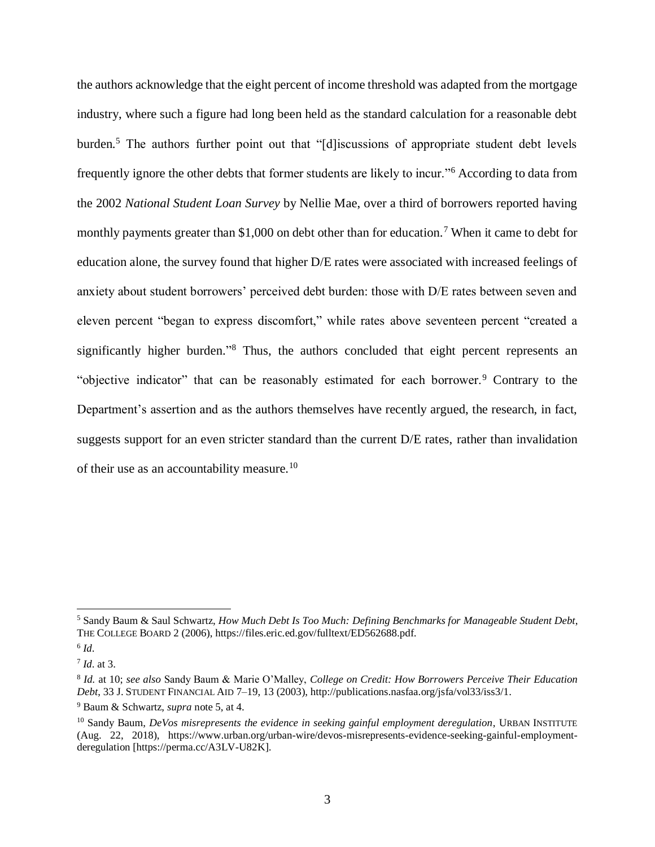<span id="page-2-0"></span>the authors acknowledge that the eight percent of income threshold was adapted from the mortgage industry, where such a figure had long been held as the standard calculation for a reasonable debt burden.<sup>5</sup> The authors further point out that "[d]iscussions of appropriate student debt levels frequently ignore the other debts that former students are likely to incur."<sup>6</sup> According to data from the 2002 *National Student Loan Survey* by Nellie Mae, over a third of borrowers reported having monthly payments greater than \$1,000 on debt other than for education.<sup>7</sup> When it came to debt for education alone, the survey found that higher D/E rates were associated with increased feelings of anxiety about student borrowers' perceived debt burden: those with D/E rates between seven and eleven percent "began to express discomfort," while rates above seventeen percent "created a significantly higher burden."<sup>8</sup> Thus, the authors concluded that eight percent represents an "objective indicator" that can be reasonably estimated for each borrower.<sup>9</sup> Contrary to the Department's assertion and as the authors themselves have recently argued, the research, in fact, suggests support for an even stricter standard than the current  $D/E$  rates, rather than invalidation of their use as an accountability measure.<sup>10</sup>

<sup>5</sup> Sandy Baum & Saul Schwartz, *How Much Debt Is Too Much: Defining Benchmarks for Manageable Student Debt*, THE COLLEGE BOARD 2 (2006), [h](https://files.eric.ed.gov/fulltext/ED562688.pdf)ttps://files.eric.ed.gov/fulltext/ED562688.pdf.

<sup>6</sup> *Id*.

<sup>7</sup> *Id*. at 3.

<sup>8</sup> *Id.* at 10; *see also* Sandy Baum & Marie O'Malley, *College on Credit: How Borrowers Perceive Their Education Debt*, 33 J.STUDENT FINANCIAL AID 7–19, 13 (2003), http://publications.nasfaa.org/jsfa/vol33/iss3/1.

<sup>9</sup> Baum & Schwartz, *supra* not[e 5,](#page-2-0) at 4.

<sup>&</sup>lt;sup>10</sup> Sandy Baum, *DeVos misrepresents the evidence in seeking gainful employment deregulation*, URBAN INSTITUTE (Aug. 22, 2018), https://www.urban.org/urban-wire/devos-misrepresents-evidence-seeking-gainful-employmentderegulation [https://perma.cc/A3LV-U82K].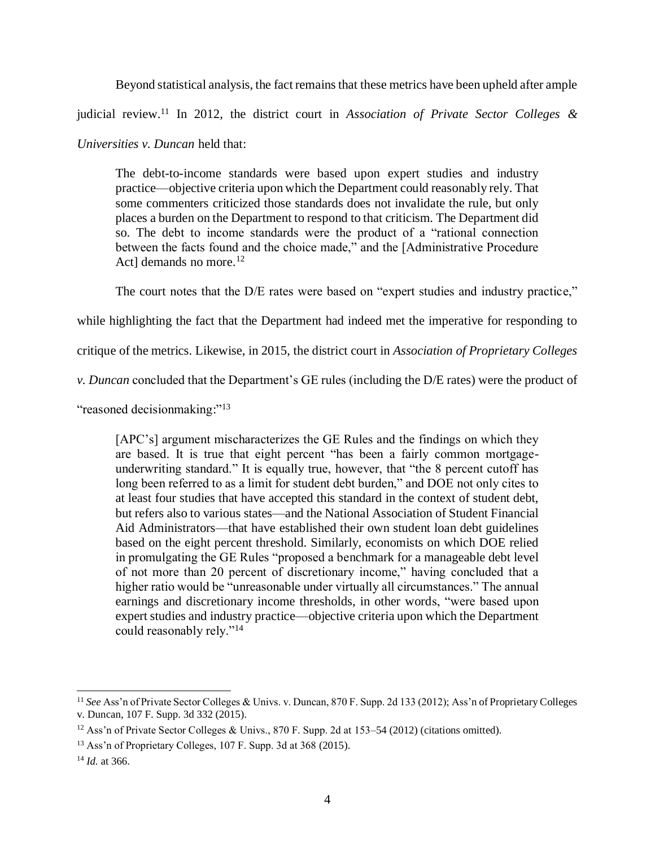Beyond statistical analysis, the fact remains that these metrics have been upheld after ample

judicial review.<sup>11</sup> In 2012, the district court in *Association of Private Sector Colleges &* 

*Universities v. Duncan* held that:

The debt-to-income standards were based upon expert studies and industry practice—objective criteria upon which the Department could reasonably rely. That some commenters criticized those standards does not invalidate the rule, but only places a burden on the Department to respond to that criticism. The Department did so. The debt to income standards were the product of a "rational connection between the facts found and the choice made," and the [Administrative Procedure Actl demands no more.<sup>12</sup>

The court notes that the D/E rates were based on "expert studies and industry practice,"

while highlighting the fact that the Department had indeed met the imperative for responding to

critique of the metrics. Likewise, in 2015, the district court in *Association of Proprietary Colleges* 

*v. Duncan* concluded that the Department's GE rules (including the D/E rates) were the product of

"reasoned decisionmaking:"<sup>13</sup>

[APC's] argument mischaracterizes the GE Rules and the findings on which they are based. It is true that eight percent "has been a fairly common mortgageunderwriting standard." It is equally true, however, that "the 8 percent cutoff has long been referred to as a limit for student debt burden," and DOE not only cites to at least four studies that have accepted this standard in the context of student debt, but refers also to various states—and the National Association of Student Financial Aid Administrators—that have established their own student loan debt guidelines based on the eight percent threshold. Similarly, economists on which DOE relied in promulgating the GE Rules "proposed a benchmark for a manageable debt level of not more than 20 percent of discretionary income," having concluded that a higher ratio would be "unreasonable under virtually all circumstances." The annual earnings and discretionary income thresholds, in other words, "were based upon expert studies and industry practice—objective criteria upon which the Department could reasonably rely."<sup>14</sup>

<sup>11</sup> *See* Ass'n of Private Sector Colleges & Univs. v. Duncan, 870 F. Supp. 2d 133 (2012); Ass'n of Proprietary Colleges v. Duncan, 107 F. Supp. 3d 332 (2015).

<sup>&</sup>lt;sup>12</sup> Ass'n of Private Sector Colleges & Univs., 870 F. Supp. 2d at 153–54 (2012) (citations omitted).

<sup>13</sup> Ass'n of Proprietary Colleges, 107 F. Supp. 3d at 368 (2015).

<sup>14</sup> *Id.* at 366.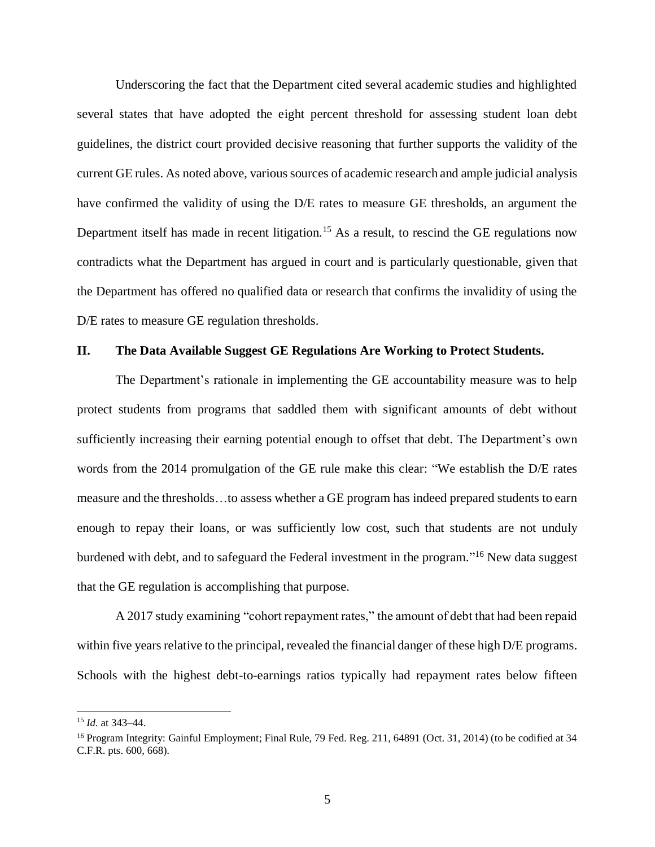Underscoring the fact that the Department cited several academic studies and highlighted several states that have adopted the eight percent threshold for assessing student loan debt guidelines, the district court provided decisive reasoning that further supports the validity of the current GE rules. As noted above, various sources of academic research and ample judicial analysis have confirmed the validity of using the D/E rates to measure GE thresholds, an argument the Department itself has made in recent litigation.<sup>15</sup> As a result, to rescind the GE regulations now contradicts what the Department has argued in court and is particularly questionable, given that the Department has offered no qualified data or research that confirms the invalidity of using the D/E rates to measure GE regulation thresholds.

#### **II. The Data Available Suggest GE Regulations Are Working to Protect Students.**

The Department's rationale in implementing the GE accountability measure was to help protect students from programs that saddled them with significant amounts of debt without sufficiently increasing their earning potential enough to offset that debt. The Department's own words from the 2014 promulgation of the GE rule make this clear: "We establish the D/E rates measure and the thresholds…to assess whether a GE program has indeed prepared students to earn enough to repay their loans, or was sufficiently low cost, such that students are not unduly burdened with debt, and to safeguard the Federal investment in the program."<sup>16</sup> New data suggest that the GE regulation is accomplishing that purpose.

A 2017 study examining "cohort repayment rates," the amount of debt that had been repaid within five years relative to the principal, revealed the financial danger of these high D/E programs. Schools with the highest debt-to-earnings ratios typically had repayment rates below fifteen

<sup>15</sup> *Id.* at 343–44.

<sup>&</sup>lt;sup>16</sup> Program Integrity: Gainful Employment; Final Rule, 79 Fed. Reg. 211, 64891 (Oct. 31, 2014) (to be codified at 34 C.F.R. pts. 600, 668).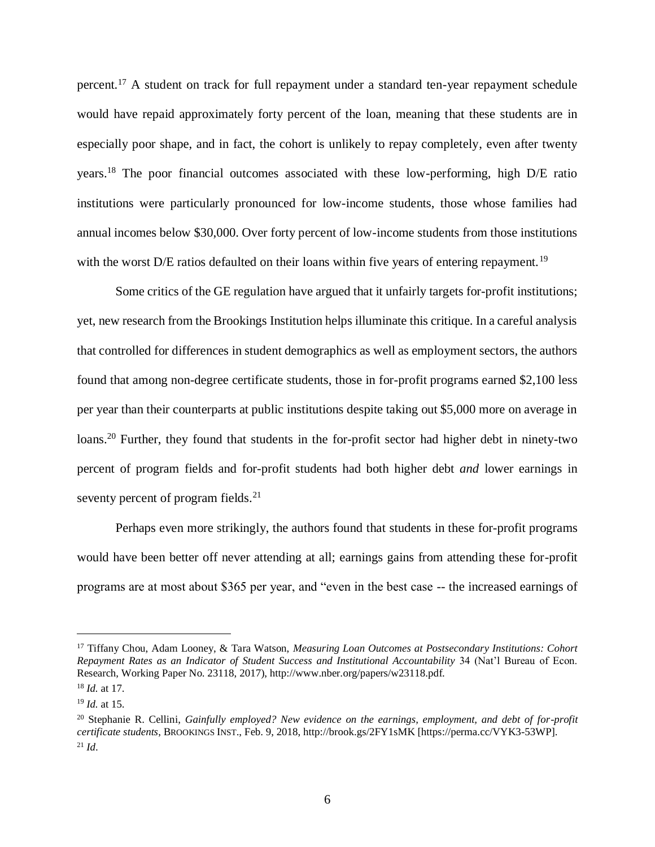percent.<sup>17</sup> A student on track for full repayment under a standard ten-year repayment schedule would have repaid approximately forty percent of the loan, meaning that these students are in especially poor shape, and in fact, the cohort is unlikely to repay completely, even after twenty years.<sup>18</sup> The poor financial outcomes associated with these low-performing, high D/E ratio institutions were particularly pronounced for low-income students, those whose families had annual incomes below \$30,000. Over forty percent of low-income students from those institutions with the worst D/E ratios defaulted on their loans within five years of entering repayment.<sup>19</sup>

Some critics of the GE regulation have argued that it unfairly targets for-profit institutions; yet, new research from the Brookings Institution helps illuminate this critique. In a careful analysis that controlled for differences in student demographics as well as employment sectors, the authors found that among non-degree certificate students, those in for-profit programs earned \$2,100 less per year than their counterparts at public institutions despite taking out \$5,000 more on average in loans.<sup>20</sup> Further, they found that students in the for-profit sector had higher debt in ninety-two percent of program fields and for-profit students had both higher debt *and* lower earnings in seventy percent of program fields.<sup>21</sup>

Perhaps even more strikingly, the authors found that students in these for-profit programs would have been better off never attending at all; earnings gains from attending these for-profit programs are at most about \$365 per year, and "even in the best case -- the increased earnings of

<sup>17</sup> Tiffany Chou, Adam Looney, & Tara Watson, *Measuring Loan Outcomes at Postsecondary Institutions: Cohort Repayment Rates as an Indicator of Student Success and Institutional Accountability* 34 (Nat'l Bureau of Econ. Research, Working Paper No. 23118, 2017), [h](http://www.nber.org/papers/w23118.pdf)ttp://www.nber.org/papers/w23118.pdf.

<sup>18</sup> *Id.* at 17.

<sup>19</sup> *Id.* at 15.

<sup>20</sup> Stephanie R. Cellini, *Gainfully employed? New evidence on the earnings, employment, and debt of for-profit certificate students*, BROOKINGS INST., Feb. 9, 2018, [h](http://brook.gs/2FY1sMK)ttp://brook.gs/2FY1sMK [https://perma.cc/VYK3-53WP].  $^{21}$  *Id.*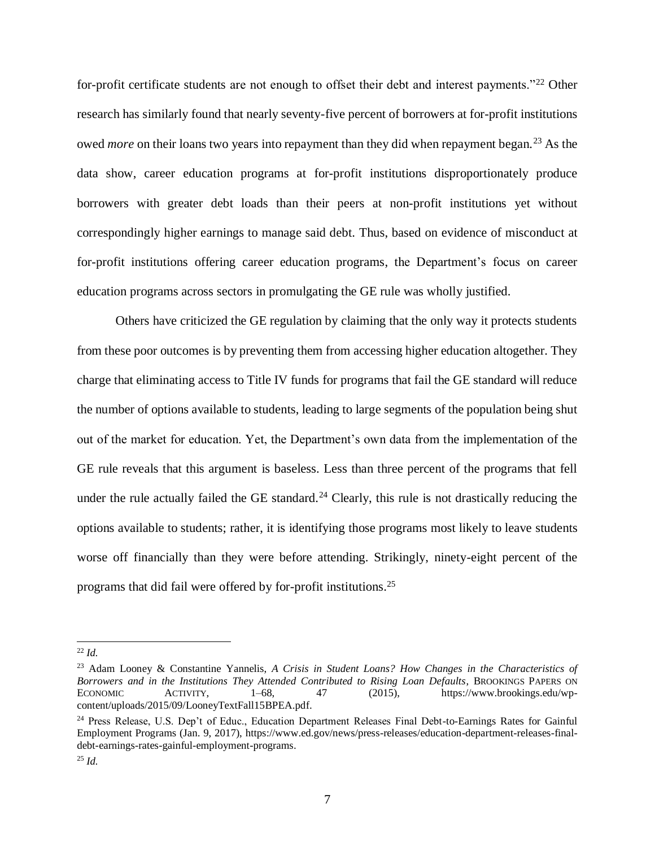for-profit certificate students are not enough to offset their debt and interest payments."<sup>22</sup> Other research has similarly found that nearly seventy-five percent of borrowers at for-profit institutions owed *more* on their loans two years into repayment than they did when repayment began.<sup>23</sup> As the data show, career education programs at for-profit institutions disproportionately produce borrowers with greater debt loads than their peers at non-profit institutions yet without correspondingly higher earnings to manage said debt. Thus, based on evidence of misconduct at for-profit institutions offering career education programs, the Department's focus on career education programs across sectors in promulgating the GE rule was wholly justified.

Others have criticized the GE regulation by claiming that the only way it protects students from these poor outcomes is by preventing them from accessing higher education altogether. They charge that eliminating access to Title IV funds for programs that fail the GE standard will reduce the number of options available to students, leading to large segments of the population being shut out of the market for education. Yet, the Department's own data from the implementation of the GE rule reveals that this argument is baseless. Less than three percent of the programs that fell under the rule actually failed the GE standard.<sup>24</sup> Clearly, this rule is not drastically reducing the options available to students; rather, it is identifying those programs most likely to leave students worse off financially than they were before attending. Strikingly, ninety-eight percent of the programs that did fail were offered by for-profit institutions.<sup>25</sup>

<sup>22</sup> *Id.*

<sup>23</sup> Adam Looney & Constantine Yannelis, *A Crisis in Student Loans? How Changes in the Characteristics of Borrowers and in the Institutions They Attended Contributed to Rising Loan Defaults*, BROOKINGS PAPERS ON ECONOMIC ACTIVITY, 1–68, 47 (2015), https://www.brookings.edu/wpcontent/uploads/2015/09/LooneyTextFall15BPEA.pdf.

<sup>&</sup>lt;sup>24</sup> Press Release, U.S. Dep't of Educ., Education Department Releases Final Debt-to-Earnings Rates for Gainful Employment Programs (Jan. 9, 2017), https://www.ed.gov/news/press-releases/education-department-releases-finaldebt-earnings-rates-gainful-employment-programs.

<sup>25</sup> *Id.*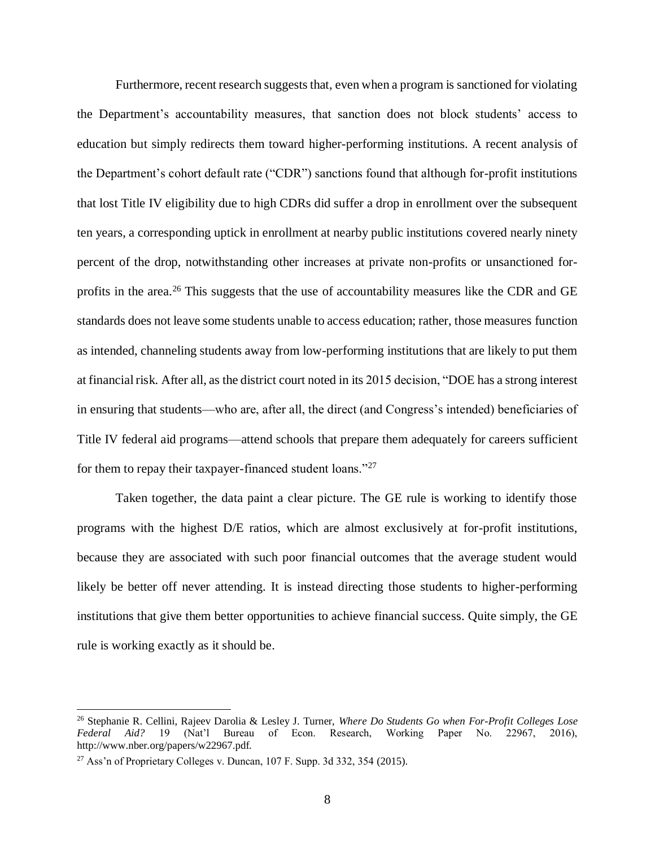Furthermore, recent research suggests that, even when a program is sanctioned for violating the Department's accountability measures, that sanction does not block students' access to education but simply redirects them toward higher-performing institutions. A recent analysis of the Department's cohort default rate ("CDR") sanctions found that although for-profit institutions that lost Title IV eligibility due to high CDRs did suffer a drop in enrollment over the subsequent ten years, a corresponding uptick in enrollment at nearby public institutions covered nearly ninety percent of the drop, notwithstanding other increases at private non-profits or unsanctioned forprofits in the area.<sup>26</sup> This suggests that the use of accountability measures like the CDR and GE standards does not leave some students unable to access education; rather, those measures function as intended, channeling students away from low-performing institutions that are likely to put them at financial risk. After all, as the district court noted in its 2015 decision, "DOE has a strong interest in ensuring that students—who are, after all, the direct (and Congress's intended) beneficiaries of Title IV federal aid programs—attend schools that prepare them adequately for careers sufficient for them to repay their taxpayer-financed student loans."<sup>27</sup>

Taken together, the data paint a clear picture. The GE rule is working to identify those programs with the highest D/E ratios, which are almost exclusively at for-profit institutions, because they are associated with such poor financial outcomes that the average student would likely be better off never attending. It is instead directing those students to higher-performing institutions that give them better opportunities to achieve financial success. Quite simply, the GE rule is working exactly as it should be.

<sup>26</sup> Stephanie R. Cellini, Rajeev Darolia & Lesley J. Turner, *Where Do Students Go when For-Profit Colleges Lose Federal Aid?* 19 (Nat'l Bureau of Econ. Research, Working Paper No. 22967, 2016), http://www.nber.org/papers/w22967.pdf.

 $^{27}$  Ass'n of Proprietary Colleges v. Duncan, 107 F. Supp. 3d 332, 354 (2015).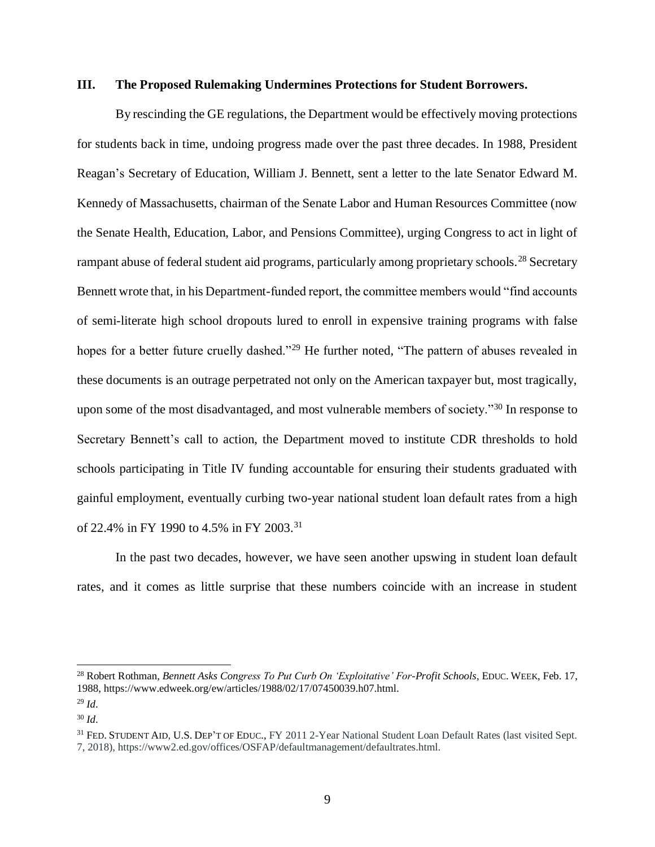### **III. The Proposed Rulemaking Undermines Protections for Student Borrowers.**

By rescinding the GE regulations, the Department would be effectively moving protections for students back in time, undoing progress made over the past three decades. In 1988, President Reagan's Secretary of Education, William J. Bennett, sent a letter to the late Senator Edward M. Kennedy of Massachusetts, chairman of the Senate Labor and Human Resources Committee (now the Senate Health, Education, Labor, and Pensions Committee), urging Congress to act in light of rampant abuse of federal student aid programs, particularly among proprietary schools.<sup>28</sup> Secretary Bennett wrote that, in his Department-funded report, the committee members would "find accounts of semi-literate high school dropouts lured to enroll in expensive training programs with false hopes for a better future cruelly dashed."<sup>29</sup> He further noted, "The pattern of abuses revealed in these documents is an outrage perpetrated not only on the American taxpayer but, most tragically, upon some of the most disadvantaged, and most vulnerable members of society."<sup>30</sup> In response to Secretary Bennett's call to action, the Department moved to institute CDR thresholds to hold schools participating in Title IV funding accountable for ensuring their students graduated with gainful employment, eventually curbing two-year national student loan default rates from a high of 22.4% in FY 1990 to 4.5% in FY 2003.<sup>31</sup>

In the past two decades, however, we have seen another upswing in student loan default rates, and it comes as little surprise that these numbers coincide with an increase in student

<sup>28</sup> Robert Rothman, *Bennett Asks Congress To Put Curb On 'Exploitative' For-Profit Schools*, EDUC. WEEK, Feb. 17, 198[8,](https://www.edweek.org/ew/articles/1988/02/17/07450039.h07.html) https://www.edweek.org/ew/articles/1988/02/17/07450039.h07.html.

<sup>29</sup> *Id*.

<sup>30</sup> *Id*.

<sup>&</sup>lt;sup>31</sup> FED. STUDENT AID, U.S. DEP'T OF EDUC., FY 2011 2-Year National Student Loan Default Rates (last visited Sept. 7, 2018), https://www2.ed.gov/offices/OSFAP/defaultmanagement/defaultrates.html.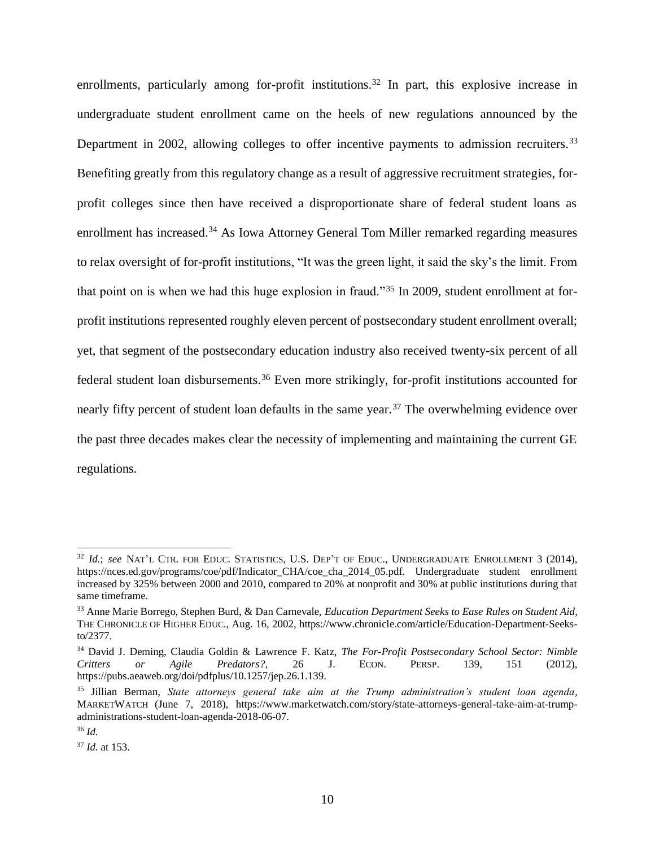enrollments, particularly among for-profit institutions.<sup>32</sup> In part, this explosive increase in undergraduate student enrollment came on the heels of new regulations announced by the Department in 2002, allowing colleges to offer incentive payments to admission recruiters.<sup>33</sup> Benefiting greatly from this regulatory change as a result of aggressive recruitment strategies, forprofit colleges since then have received a disproportionate share of federal student loans as enrollment has increased.<sup>34</sup> As Iowa Attorney General Tom Miller remarked regarding measures to relax oversight of for-profit institutions, "It was the green light, it said the sky's the limit. From that point on is when we had this huge explosion in fraud."<sup>35</sup> In 2009, student enrollment at forprofit institutions represented roughly eleven percent of postsecondary student enrollment overall; yet, that segment of the postsecondary education industry also received twenty-six percent of all federal student loan disbursements.<sup>36</sup> Even more strikingly, for-profit institutions accounted for nearly fifty percent of student loan defaults in the same year.<sup>37</sup> The overwhelming evidence over the past three decades makes clear the necessity of implementing and maintaining the current GE regulations.

<sup>32</sup> *Id.*; *see* NAT'L CTR. FOR EDUC. STATISTICS, U.S. DEP'T OF EDUC., UNDERGRADUATE ENROLLMENT 3 (2014), https://nces.ed.gov/programs/coe/pdf/Indicator CHA/coe cha\_2014\_05.pdf. Undergraduate student enrollment increased by 325% between 2000 and 2010, compared to 20% at nonprofit and 30% at public institutions during that same timeframe.

<sup>33</sup> Anne Marie Borrego, Stephen Burd, & Dan Carnevale, *Education Department Seeks to Ease Rules on Student Aid*, THE CHRONICLE OF HIGHER EDUC., Aug. 16, 2002, https://www.chronicle.com/article/Education-Department-Seeksto/2377.

<sup>34</sup> David J. Deming, Claudia Goldin & Lawrence F. Katz, *The For-Profit Postsecondary School Sector: Nimble Critters or Agile Predators?*, 26 J. ECON. PERSP. 139, 151 (2012), https://pubs.aeaweb.org/doi/pdfplus/10.1257/jep.26.1.139.

<sup>35</sup> Jillian Berman, *State attorneys general take aim at the Trump administration's student loan agenda*, MARKETWATCH (June 7, 2018), https://www.marketwatch.com/story/state-attorneys-general-take-aim-at-trumpadministrations-student-loan-agenda-2018-06-07.

<sup>36</sup> *Id.*

<sup>37</sup> *Id.* at 153.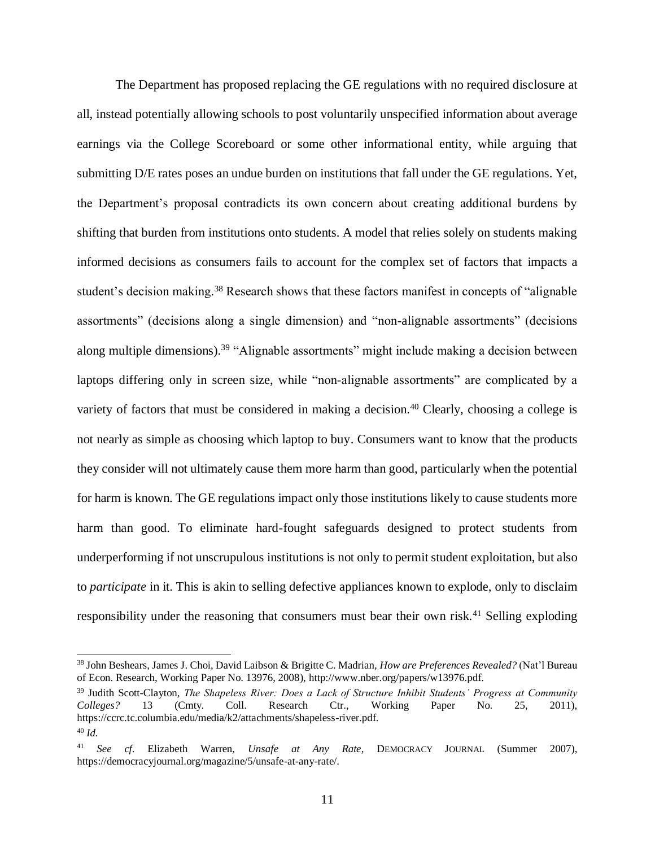The Department has proposed replacing the GE regulations with no required disclosure at all, instead potentially allowing schools to post voluntarily unspecified information about average earnings via the College Scoreboard or some other informational entity, while arguing that submitting D/E rates poses an undue burden on institutions that fall under the GE regulations. Yet, the Department's proposal contradicts its own concern about creating additional burdens by shifting that burden from institutions onto students. A model that relies solely on students making informed decisions as consumers fails to account for the complex set of factors that impacts a student's decision making.<sup>38</sup> Research shows that these factors manifest in concepts of "alignable" assortments" (decisions along a single dimension) and "non-alignable assortments" (decisions along multiple dimensions).<sup>39</sup> "Alignable assortments" might include making a decision between laptops differing only in screen size, while "non-alignable assortments" are complicated by a variety of factors that must be considered in making a decision.<sup>40</sup> Clearly, choosing a college is not nearly as simple as choosing which laptop to buy. Consumers want to know that the products they consider will not ultimately cause them more harm than good, particularly when the potential for harm is known. The GE regulations impact only those institutions likely to cause students more harm than good. To eliminate hard-fought safeguards designed to protect students from underperforming if not unscrupulous institutions is not only to permit student exploitation, but also to *participate* in it. This is akin to selling defective appliances known to explode, only to disclaim responsibility under the reasoning that consumers must bear their own risk.<sup>41</sup> Selling exploding

<sup>38</sup> John Beshears, James J. Choi, David Laibson & Brigitte C. Madrian, *How are Preferences Revealed?* (Nat'l Bureau of Econ. Research, Working Paper No. 13976, 2008), http://www.nber.org/papers/w13976.pdf.

<sup>39</sup> Judith Scott-Clayton, *The Shapeless River: Does a Lack of Structure Inhibit Students' Progress at Community Colleges?* 13 (Cmty. Coll. Research Ctr., Working Paper No. 25, 2011), https://ccrc.tc.columbia.edu/media/k2/attachments/shapeless-river.pdf. <sup>40</sup> *Id.*

<sup>41</sup> *See cf.* Elizabeth Warren, *Unsafe at Any Rate*, DEMOCRACY JOURNAL (Summer 2007), https://democracyjournal.org/magazine/5/unsafe-at-any-rate/.